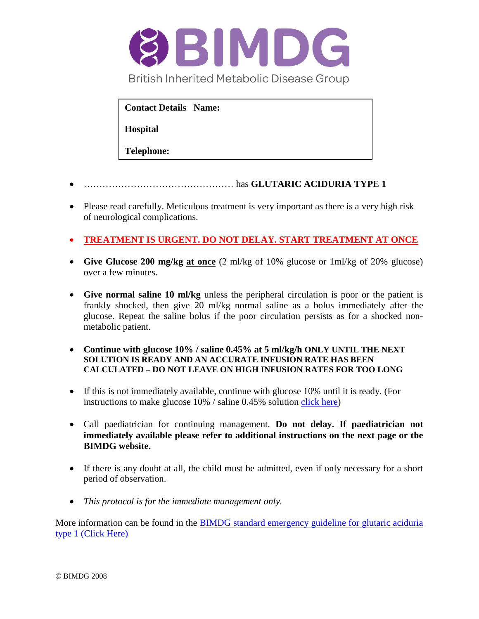

**Contact Details Name:** 

**Hospital** 

**Telephone:**

- ………………………………………… has **GLUTARIC ACIDURIA TYPE 1**
- Please read carefully. Meticulous treatment is very important as there is a very high risk of neurological complications.
- **TREATMENT IS URGENT. DO NOT DELAY. START TREATMENT AT ONCE**
- **Give Glucose 200 mg/kg at once** (2 ml/kg of 10% glucose or 1ml/kg of 20% glucose) over a few minutes.
- **Give normal saline 10 ml/kg** unless the peripheral circulation is poor or the patient is frankly shocked, then give 20 ml/kg normal saline as a bolus immediately after the glucose. Repeat the saline bolus if the poor circulation persists as for a shocked nonmetabolic patient.
- **Continue with glucose 10% / saline 0.45% at 5 ml/kg/h ONLY UNTIL THE NEXT SOLUTION IS READY AND AN ACCURATE INFUSION RATE HAS BEEN CALCULATED – DO NOT LEAVE ON HIGH INFUSION RATES FOR TOO LONG**
- If this is not immediately available, continue with glucose 10% until it is ready. (For instructions to make glucose 10% / saline 0.45% solution [click here\)](http://www.bimdg.org.uk/store/guidelines/intravenous_fluidsrev4_864191_09092016.pdf)
- Call paediatrician for continuing management. **Do not delay. If paediatrician not immediately available please refer to additional instructions on the next page or the BIMDG website.**
- If there is any doubt at all, the child must be admitted, even if only necessary for a short period of observation.
- *This protocol is for the immediate management only.*

More information can be found in the BIMDG standard emergency guideline for glutaric aciduria [type 1 \(Click Here\)](http://www.bimdg.org.uk/store/guidelines/ER-GA1-v4_225762_09092016.pdf)